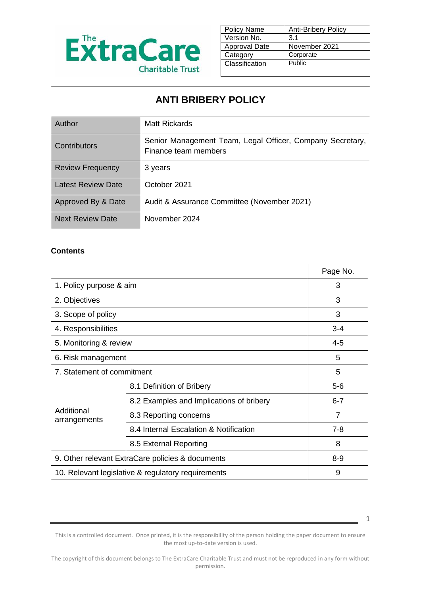

| <b>Policy Name</b>   | <b>Anti-Bribery Policy</b> |
|----------------------|----------------------------|
| Version No.          | 3.1                        |
| <b>Approval Date</b> | November 2021              |
| Category             | Corporate                  |
| Classification       | Public                     |
|                      |                            |

## **ANTI BRIBERY POLICY**

| Author                    | Matt Rickards                                                                     |
|---------------------------|-----------------------------------------------------------------------------------|
| <b>Contributors</b>       | Senior Management Team, Legal Officer, Company Secretary,<br>Finance team members |
| <b>Review Frequency</b>   | 3 years                                                                           |
| <b>Latest Review Date</b> | October 2021                                                                      |
| Approved By & Date        | Audit & Assurance Committee (November 2021)                                       |
| <b>Next Review Date</b>   | November 2024                                                                     |

#### **Contents**

|                                                    |                                          | Page No.       |
|----------------------------------------------------|------------------------------------------|----------------|
| 1. Policy purpose & aim                            |                                          | 3              |
| 2. Objectives                                      |                                          | 3              |
| 3. Scope of policy                                 |                                          | 3              |
| 4. Responsibilities                                |                                          | $3 - 4$        |
| 5. Monitoring & review                             | $4 - 5$                                  |                |
| 6. Risk management                                 | 5                                        |                |
| 7. Statement of commitment                         |                                          | 5              |
|                                                    | 8.1 Definition of Bribery                | $5-6$          |
|                                                    | 8.2 Examples and Implications of bribery | $6 - 7$        |
| Additional<br>arrangements                         | 8.3 Reporting concerns                   | $\overline{7}$ |
|                                                    | 8.4 Internal Escalation & Notification   | $7 - 8$        |
|                                                    | 8.5 External Reporting                   | 8              |
| 9. Other relevant ExtraCare policies & documents   | $8 - 9$                                  |                |
| 10. Relevant legislative & regulatory requirements | 9                                        |                |

This is a controlled document. Once printed, it is the responsibility of the person holding the paper document to ensure the most up-to-date version is used.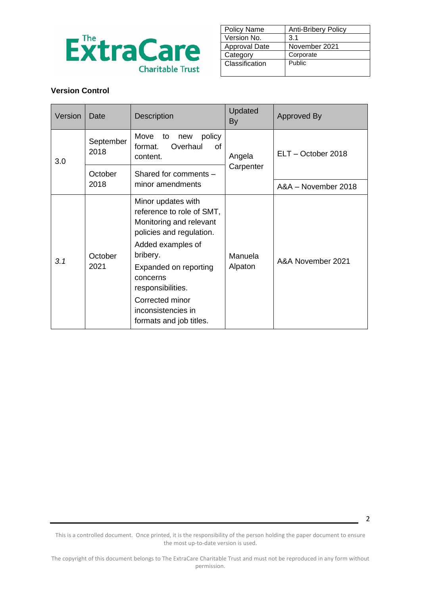

| <b>Policy Name</b> | <b>Anti-Bribery Policy</b> |  |
|--------------------|----------------------------|--|
| Version No.        | 3.1                        |  |
| Approval Date      | November 2021              |  |
| Category           | Corporate                  |  |
| Classification     | Public                     |  |
|                    |                            |  |

#### **Version Control**

| Version | Date                                                                                      | <b>Description</b>                                                                                                                                                                                                                                                    | Updated<br><b>By</b> | Approved By         |  |
|---------|-------------------------------------------------------------------------------------------|-----------------------------------------------------------------------------------------------------------------------------------------------------------------------------------------------------------------------------------------------------------------------|----------------------|---------------------|--|
| 3.0     | Move<br>policy<br>to<br>new<br>September<br>Overhaul<br>0f<br>format.<br>2018<br>content. |                                                                                                                                                                                                                                                                       | Angela               | ELT - October 2018  |  |
| October |                                                                                           | Carpenter<br>Shared for comments -                                                                                                                                                                                                                                    |                      |                     |  |
|         | 2018<br>minor amendments                                                                  |                                                                                                                                                                                                                                                                       |                      | A&A - November 2018 |  |
| 3.1     | October<br>2021                                                                           | Minor updates with<br>reference to role of SMT,<br>Monitoring and relevant<br>policies and regulation.<br>Added examples of<br>bribery.<br>Expanded on reporting<br>concerns<br>responsibilities.<br>Corrected minor<br>inconsistencies in<br>formats and job titles. | Manuela<br>Alpaton   | A&A November 2021   |  |

This is a controlled document. Once printed, it is the responsibility of the person holding the paper document to ensure the most up-to-date version is used.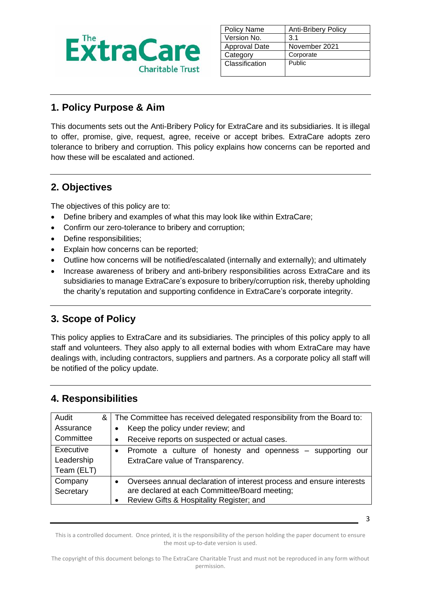

| <b>Policy Name</b>   | <b>Anti-Bribery Policy</b> |
|----------------------|----------------------------|
| Version No.          | 3.1                        |
| <b>Approval Date</b> | November 2021              |
| Category             | Corporate                  |
| Classification       | <b>Public</b>              |
|                      |                            |

## **1. Policy Purpose & Aim**

This documents sets out the Anti-Bribery Policy for ExtraCare and its subsidiaries. It is illegal to offer, promise, give, request, agree, receive or accept bribes. ExtraCare adopts zero tolerance to bribery and corruption. This policy explains how concerns can be reported and how these will be escalated and actioned.

### **2. Objectives**

The objectives of this policy are to:

- Define bribery and examples of what this may look like within ExtraCare;
- Confirm our zero-tolerance to bribery and corruption;
- Define responsibilities;
- Explain how concerns can be reported;
- Outline how concerns will be notified/escalated (internally and externally); and ultimately
- Increase awareness of bribery and anti-bribery responsibilities across ExtraCare and its subsidiaries to manage ExtraCare's exposure to bribery/corruption risk, thereby upholding the charity's reputation and supporting confidence in ExtraCare's corporate integrity.

## **3. Scope of Policy**

This policy applies to ExtraCare and its subsidiaries. The principles of this policy apply to all staff and volunteers. They also apply to all external bodies with whom ExtraCare may have dealings with, including contractors, suppliers and partners. As a corporate policy all staff will be notified of the policy update.

#### **4. Responsibilities**

| Audit      | & | The Committee has received delegated responsibility from the Board to:            |
|------------|---|-----------------------------------------------------------------------------------|
| Assurance  |   | Keep the policy under review; and<br>$\bullet$                                    |
| Committee  |   | Receive reports on suspected or actual cases.<br>$\bullet$                        |
| Executive  |   | Promote a culture of honesty and openness – supporting our<br>$\bullet$           |
| Leadership |   | ExtraCare value of Transparency.                                                  |
| Team (ELT) |   |                                                                                   |
| Company    |   | Oversees annual declaration of interest process and ensure interests<br>$\bullet$ |
| Secretary  |   | are declared at each Committee/Board meeting;                                     |
|            |   | Review Gifts & Hospitality Register; and                                          |

This is a controlled document. Once printed, it is the responsibility of the person holding the paper document to ensure the most up-to-date version is used.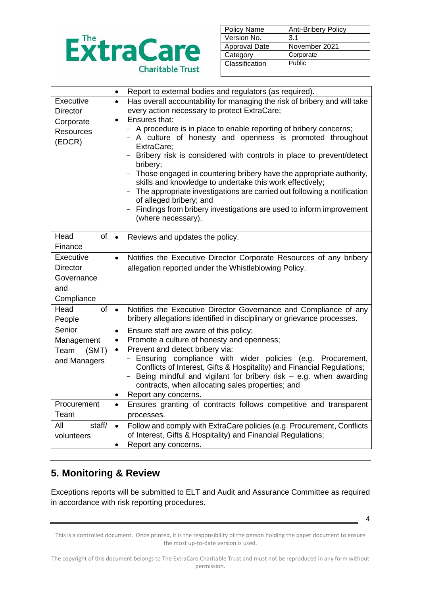

| <b>Policy Name</b>   | <b>Anti-Bribery Policy</b> |
|----------------------|----------------------------|
| Version No.          | 3.1                        |
| <b>Approval Date</b> | November 2021              |
| Category             | Corporate                  |
| Classification       | Public                     |
|                      |                            |

|                  | $\bullet$                                    | Report to external bodies and regulators (as required).                         |  |  |
|------------------|----------------------------------------------|---------------------------------------------------------------------------------|--|--|
| Executive        | $\bullet$                                    | Has overall accountability for managing the risk of bribery and will take       |  |  |
| <b>Director</b>  | every action necessary to protect ExtraCare; |                                                                                 |  |  |
| Corporate        | $\bullet$                                    | Ensures that:                                                                   |  |  |
| <b>Resources</b> |                                              | - A procedure is in place to enable reporting of bribery concerns;              |  |  |
| (EDCR)           |                                              | - A culture of honesty and openness is promoted throughout                      |  |  |
|                  |                                              | ExtraCare:                                                                      |  |  |
|                  |                                              | Bribery risk is considered with controls in place to prevent/detect<br>bribery; |  |  |
|                  |                                              | Those engaged in countering bribery have the appropriate authority,             |  |  |
|                  |                                              | skills and knowledge to undertake this work effectively;                        |  |  |
|                  |                                              | - The appropriate investigations are carried out following a notification       |  |  |
|                  |                                              | of alleged bribery; and                                                         |  |  |
|                  |                                              | Findings from bribery investigations are used to inform improvement<br>$-$      |  |  |
|                  |                                              | (where necessary).                                                              |  |  |
|                  |                                              |                                                                                 |  |  |
| Head<br>of       | $\bullet$                                    | Reviews and updates the policy.                                                 |  |  |
| Finance          |                                              |                                                                                 |  |  |
| Executive        | $\bullet$                                    | Notifies the Executive Director Corporate Resources of any bribery              |  |  |
| <b>Director</b>  |                                              | allegation reported under the Whistleblowing Policy.                            |  |  |
| Governance       |                                              |                                                                                 |  |  |
| and              |                                              |                                                                                 |  |  |
| Compliance       |                                              |                                                                                 |  |  |
| Head<br>of       | $\bullet$                                    | Notifies the Executive Director Governance and Compliance of any                |  |  |
| People           |                                              | bribery allegations identified in disciplinary or grievance processes.          |  |  |
| Senior           | $\bullet$                                    | Ensure staff are aware of this policy;                                          |  |  |
| Management       | $\bullet$                                    | Promote a culture of honesty and openness;                                      |  |  |
| Team<br>(SMT)    | $\bullet$                                    | Prevent and detect bribery via:                                                 |  |  |
| and Managers     |                                              | Ensuring compliance with wider policies (e.g. Procurement,                      |  |  |
|                  |                                              | Conflicts of Interest, Gifts & Hospitality) and Financial Regulations;          |  |  |
|                  |                                              | Being mindful and vigilant for bribery risk $-$ e.g. when awarding              |  |  |
|                  |                                              | contracts, when allocating sales properties; and                                |  |  |
| Procurement      | ٠                                            | Report any concerns.                                                            |  |  |
|                  | $\bullet$                                    | Ensures granting of contracts follows competitive and transparent               |  |  |
| Team             |                                              | processes.                                                                      |  |  |
| All<br>staff/    | $\bullet$                                    | Follow and comply with ExtraCare policies (e.g. Procurement, Conflicts          |  |  |
| volunteers       |                                              | of Interest, Gifts & Hospitality) and Financial Regulations;                    |  |  |
|                  | $\bullet$                                    | Report any concerns.                                                            |  |  |

## **5. Monitoring & Review**

Exceptions reports will be submitted to ELT and Audit and Assurance Committee as required in accordance with risk reporting procedures.

4

This is a controlled document. Once printed, it is the responsibility of the person holding the paper document to ensure the most up-to-date version is used.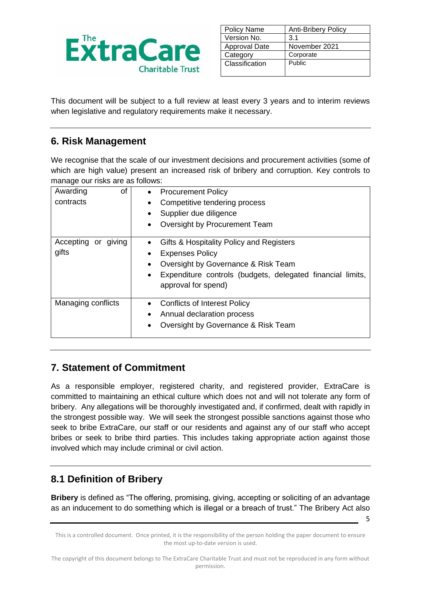

| <b>Policy Name</b> | <b>Anti-Bribery Policy</b> |
|--------------------|----------------------------|
| Version No.        | 3.1                        |
| Approval Date      | November 2021              |
| Category           | Corporate                  |
| Classification     | Public                     |
|                    |                            |

This document will be subject to a full review at least every 3 years and to interim reviews when legislative and regulatory requirements make it necessary.

### **6. Risk Management**

We recognise that the scale of our investment decisions and procurement activities (some of which are high value) present an increased risk of bribery and corruption. Key controls to manage our risks are as follows:

| 0f<br>Awarding      | <b>Procurement Policy</b>                                                                      |
|---------------------|------------------------------------------------------------------------------------------------|
| contracts           | Competitive tendering process                                                                  |
|                     | Supplier due diligence                                                                         |
|                     | Oversight by Procurement Team                                                                  |
| Accepting or giving | Gifts & Hospitality Policy and Registers                                                       |
| gifts               | <b>Expenses Policy</b>                                                                         |
|                     | Oversight by Governance & Risk Team<br>٠                                                       |
|                     | Expenditure controls (budgets, delegated financial limits,<br>$\bullet$<br>approval for spend) |
| Managing conflicts  | <b>Conflicts of Interest Policy</b>                                                            |
|                     | Annual declaration process<br>٠                                                                |
|                     | Oversight by Governance & Risk Team                                                            |

### **7. Statement of Commitment**

As a responsible employer, registered charity, and registered provider, ExtraCare is committed to maintaining an ethical culture which does not and will not tolerate any form of bribery. Any allegations will be thoroughly investigated and, if confirmed, dealt with rapidly in the strongest possible way. We will seek the strongest possible sanctions against those who seek to bribe ExtraCare, our staff or our residents and against any of our staff who accept bribes or seek to bribe third parties. This includes taking appropriate action against those involved which may include criminal or civil action.

## **8.1 Definition of Bribery**

**Bribery** is defined as "The offering, promising, giving, accepting or soliciting of an advantage as an inducement to do something which is illegal or a breach of trust." The Bribery Act also

This is a controlled document. Once printed, it is the responsibility of the person holding the paper document to ensure the most up-to-date version is used.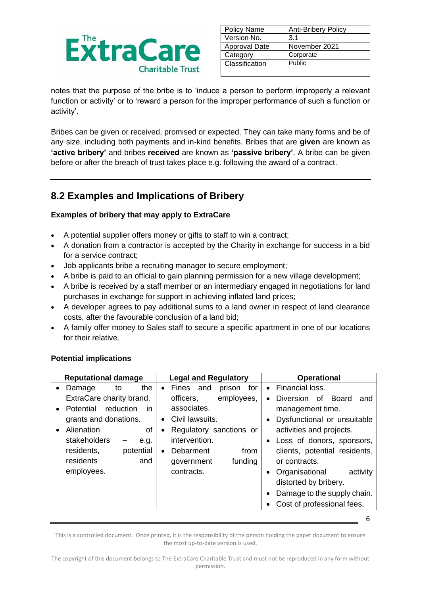

| <b>Policy Name</b>   | <b>Anti-Bribery Policy</b> |
|----------------------|----------------------------|
| Version No.          | 3.1                        |
| <b>Approval Date</b> | November 2021              |
| Category             | Corporate                  |
| Classification       | Public                     |
|                      |                            |

notes that the purpose of the bribe is to 'induce a person to perform improperly a relevant function or activity' or to 'reward a person for the improper performance of such a function or activity'.

Bribes can be given or received, promised or expected. They can take many forms and be of any size, including both payments and in-kind benefits. Bribes that are **given** are known as **'active bribery'** and bribes **received** are known as **'passive bribery'**. A bribe can be given before or after the breach of trust takes place e.g. following the award of a contract.

## **8.2 Examples and Implications of Bribery**

#### **Examples of bribery that may apply to ExtraCare**

- A potential supplier offers money or gifts to staff to win a contract;
- A donation from a contractor is accepted by the Charity in exchange for success in a bid for a service contract;
- Job applicants bribe a recruiting manager to secure employment;
- A bribe is paid to an official to gain planning permission for a new village development;
- A bribe is received by a staff member or an intermediary engaged in negotiations for land purchases in exchange for support in achieving inflated land prices;
- A developer agrees to pay additional sums to a land owner in respect of land clearance costs, after the favourable conclusion of a land bid;
- A family offer money to Sales staff to secure a specific apartment in one of our locations for their relative.

| Financial loss.<br>the<br>for<br>Fines and<br>prison<br>Damage<br>to<br>$\bullet$<br>$\bullet$<br>$\bullet$<br>ExtraCare charity brand.<br>employees,<br>officers,<br>Diversion of Board<br>associates.<br>reduction<br>Potential<br>in.<br>management time.<br>$\bullet$<br>grants and donations.<br>Civil lawsuits.<br>$\bullet$<br>Alienation<br>activities and projects.<br>of<br>Regulatory sanctions or<br>$\bullet$<br>$\bullet$<br>intervention.<br>stakeholders<br>e.g.<br>residents,<br>potential<br>Debarment<br>from<br>residents<br>and<br>funding<br>or contracts.<br>government<br>employees.<br>contracts.<br>Organisational<br>$\bullet$<br>distorted by bribery. | <b>Reputational damage</b> | <b>Legal and Regulatory</b> | <b>Operational</b>            |
|------------------------------------------------------------------------------------------------------------------------------------------------------------------------------------------------------------------------------------------------------------------------------------------------------------------------------------------------------------------------------------------------------------------------------------------------------------------------------------------------------------------------------------------------------------------------------------------------------------------------------------------------------------------------------------|----------------------------|-----------------------------|-------------------------------|
|                                                                                                                                                                                                                                                                                                                                                                                                                                                                                                                                                                                                                                                                                    |                            |                             |                               |
|                                                                                                                                                                                                                                                                                                                                                                                                                                                                                                                                                                                                                                                                                    |                            |                             | and                           |
|                                                                                                                                                                                                                                                                                                                                                                                                                                                                                                                                                                                                                                                                                    |                            |                             |                               |
|                                                                                                                                                                                                                                                                                                                                                                                                                                                                                                                                                                                                                                                                                    |                            |                             | Dysfunctional or unsuitable   |
|                                                                                                                                                                                                                                                                                                                                                                                                                                                                                                                                                                                                                                                                                    |                            |                             |                               |
|                                                                                                                                                                                                                                                                                                                                                                                                                                                                                                                                                                                                                                                                                    |                            |                             | Loss of donors, sponsors,     |
|                                                                                                                                                                                                                                                                                                                                                                                                                                                                                                                                                                                                                                                                                    |                            |                             | clients, potential residents, |
|                                                                                                                                                                                                                                                                                                                                                                                                                                                                                                                                                                                                                                                                                    |                            |                             |                               |
|                                                                                                                                                                                                                                                                                                                                                                                                                                                                                                                                                                                                                                                                                    |                            |                             | activity                      |
|                                                                                                                                                                                                                                                                                                                                                                                                                                                                                                                                                                                                                                                                                    |                            |                             |                               |
|                                                                                                                                                                                                                                                                                                                                                                                                                                                                                                                                                                                                                                                                                    |                            |                             | Damage to the supply chain.   |
|                                                                                                                                                                                                                                                                                                                                                                                                                                                                                                                                                                                                                                                                                    |                            |                             | Cost of professional fees.    |

#### **Potential implications**

This is a controlled document. Once printed, it is the responsibility of the person holding the paper document to ensure the most up-to-date version is used.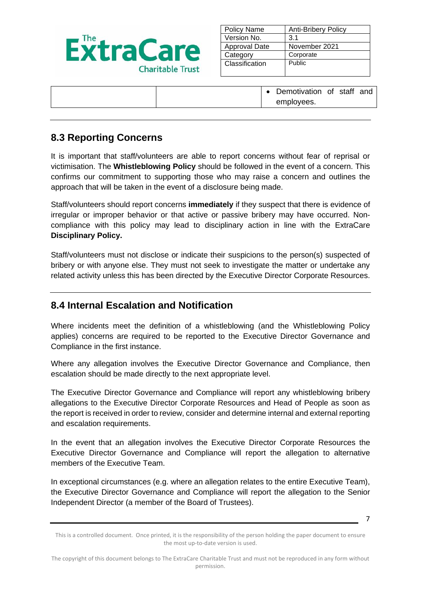

| <b>Policy Name</b>   | <b>Anti-Bribery Policy</b> |
|----------------------|----------------------------|
| Version No.          | 3.1                        |
| <b>Approval Date</b> | November 2021              |
| Category             | Corporate                  |
| Classification       | <b>Public</b>              |
|                      |                            |

• Demotivation of staff and employees.

### **8.3 Reporting Concerns**

It is important that staff/volunteers are able to report concerns without fear of reprisal or victimisation. The **Whistleblowing Policy** should be followed in the event of a concern. This confirms our commitment to supporting those who may raise a concern and outlines the approach that will be taken in the event of a disclosure being made.

Staff/volunteers should report concerns **immediately** if they suspect that there is evidence of irregular or improper behavior or that active or passive bribery may have occurred. Noncompliance with this policy may lead to disciplinary action in line with the ExtraCare **Disciplinary Policy.**

Staff/volunteers must not disclose or indicate their suspicions to the person(s) suspected of bribery or with anyone else. They must not seek to investigate the matter or undertake any related activity unless this has been directed by the Executive Director Corporate Resources.

#### **8.4 Internal Escalation and Notification**

Where incidents meet the definition of a whistleblowing (and the Whistleblowing Policy applies) concerns are required to be reported to the Executive Director Governance and Compliance in the first instance.

Where any allegation involves the Executive Director Governance and Compliance, then escalation should be made directly to the next appropriate level.

The Executive Director Governance and Compliance will report any whistleblowing bribery allegations to the Executive Director Corporate Resources and Head of People as soon as the report is received in order to review, consider and determine internal and external reporting and escalation requirements.

In the event that an allegation involves the Executive Director Corporate Resources the Executive Director Governance and Compliance will report the allegation to alternative members of the Executive Team.

In exceptional circumstances (e.g. where an allegation relates to the entire Executive Team), the Executive Director Governance and Compliance will report the allegation to the Senior Independent Director (a member of the Board of Trustees).

<sup>7</sup>

This is a controlled document. Once printed, it is the responsibility of the person holding the paper document to ensure the most up-to-date version is used.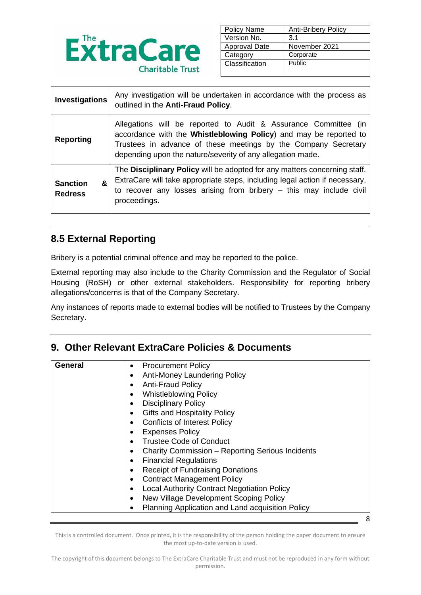

| <b>Policy Name</b>   | <b>Anti-Bribery Policy</b> |
|----------------------|----------------------------|
| Version No.          | 3.1                        |
| <b>Approval Date</b> | November 2021              |
| Category             | Corporate                  |
| Classification       | Public                     |
|                      |                            |

| Investigations                         | Any investigation will be undertaken in accordance with the process as<br>outlined in the Anti-Fraud Policy.                                                                                                                                                         |  |
|----------------------------------------|----------------------------------------------------------------------------------------------------------------------------------------------------------------------------------------------------------------------------------------------------------------------|--|
| <b>Reporting</b>                       | Allegations will be reported to Audit & Assurance Committee (in<br>accordance with the Whistleblowing Policy) and may be reported to<br>Trustees in advance of these meetings by the Company Secretary<br>depending upon the nature/severity of any allegation made. |  |
| &<br><b>Sanction</b><br><b>Redress</b> | The Disciplinary Policy will be adopted for any matters concerning staff.<br>ExtraCare will take appropriate steps, including legal action if necessary,<br>to recover any losses arising from bribery $-$ this may include civil<br>proceedings.                    |  |

## **8.5 External Reporting**

Bribery is a potential criminal offence and may be reported to the police.

External reporting may also include to the Charity Commission and the Regulator of Social Housing (RoSH) or other external stakeholders. Responsibility for reporting bribery allegations/concerns is that of the Company Secretary.

Any instances of reports made to external bodies will be notified to Trustees by the Company Secretary.

### **9. Other Relevant ExtraCare Policies & Documents**

| General | <b>Procurement Policy</b><br>٠                     |   |
|---------|----------------------------------------------------|---|
|         | Anti-Money Laundering Policy                       |   |
|         | <b>Anti-Fraud Policy</b>                           |   |
|         | <b>Whistleblowing Policy</b>                       |   |
|         | <b>Disciplinary Policy</b>                         |   |
|         | <b>Gifts and Hospitality Policy</b>                |   |
|         | <b>Conflicts of Interest Policy</b>                |   |
|         | <b>Expenses Policy</b>                             |   |
|         | <b>Trustee Code of Conduct</b>                     |   |
|         | Charity Commission - Reporting Serious Incidents   |   |
|         | <b>Financial Regulations</b>                       |   |
|         | <b>Receipt of Fundraising Donations</b>            |   |
|         | <b>Contract Management Policy</b>                  |   |
|         | <b>Local Authority Contract Negotiation Policy</b> |   |
|         | New Village Development Scoping Policy             |   |
|         | Planning Application and Land acquisition Policy   |   |
|         |                                                    | 8 |

This is a controlled document. Once printed, it is the responsibility of the person holding the paper document to ensure the most up-to-date version is used.